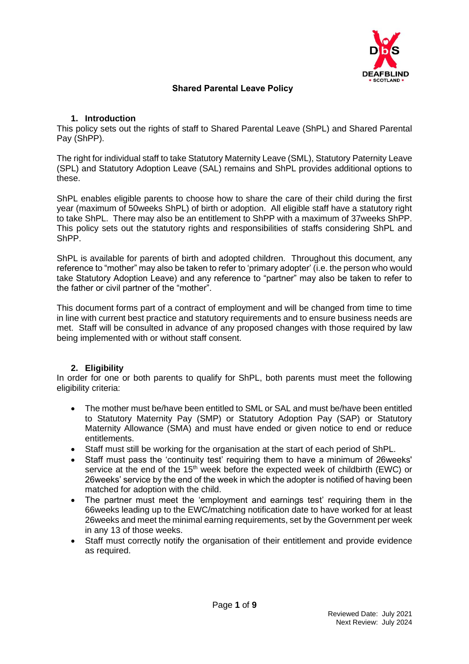

### **Shared Parental Leave Policy**

### **1. Introduction**

This policy sets out the rights of staff to Shared Parental Leave (ShPL) and Shared Parental Pay (ShPP).

The right for individual staff to take Statutory Maternity Leave (SML), Statutory Paternity Leave (SPL) and Statutory Adoption Leave (SAL) remains and ShPL provides additional options to these.

ShPL enables eligible parents to choose how to share the care of their child during the first year (maximum of 50weeks ShPL) of birth or adoption. All eligible staff have a statutory right to take ShPL. There may also be an entitlement to ShPP with a maximum of 37weeks ShPP. This policy sets out the statutory rights and responsibilities of staffs considering ShPL and ShPP.

ShPL is available for parents of birth and adopted children. Throughout this document, any reference to "mother" may also be taken to refer to 'primary adopter' (i.e. the person who would take Statutory Adoption Leave) and any reference to "partner" may also be taken to refer to the father or civil partner of the "mother".

This document forms part of a contract of employment and will be changed from time to time in line with current best practice and statutory requirements and to ensure business needs are met. Staff will be consulted in advance of any proposed changes with those required by law being implemented with or without staff consent.

# **2. Eligibility**

In order for one or both parents to qualify for ShPL, both parents must meet the following eligibility criteria:

- The mother must be/have been entitled to SML or SAL and must be/have been entitled to Statutory Maternity Pay (SMP) or Statutory Adoption Pay (SAP) or Statutory Maternity Allowance (SMA) and must have ended or given notice to end or reduce entitlements.
- Staff must still be working for the organisation at the start of each period of ShPL.
- Staff must pass the 'continuity test' requiring them to have a minimum of 26weeks' service at the end of the  $15<sup>th</sup>$  week before the expected week of childbirth (EWC) or 26weeks' service by the end of the week in which the adopter is notified of having been matched for adoption with the child.
- The partner must meet the 'employment and earnings test' requiring them in the 66weeks leading up to the EWC/matching notification date to have worked for at least 26weeks and meet the minimal earning requirements, set by the Government per week in any 13 of those weeks.
- Staff must correctly notify the organisation of their entitlement and provide evidence as required.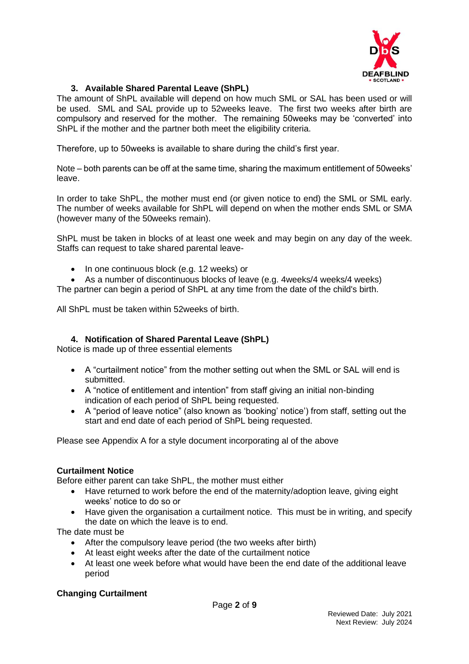

# **3. Available Shared Parental Leave (ShPL)**

The amount of ShPL available will depend on how much SML or SAL has been used or will be used. SML and SAL provide up to 52weeks leave. The first two weeks after birth are compulsory and reserved for the mother. The remaining 50weeks may be 'converted' into ShPL if the mother and the partner both meet the eligibility criteria.

Therefore, up to 50weeks is available to share during the child's first year.

Note – both parents can be off at the same time, sharing the maximum entitlement of 50weeks' leave.

In order to take ShPL, the mother must end (or given notice to end) the SML or SML early. The number of weeks available for ShPL will depend on when the mother ends SML or SMA (however many of the 50weeks remain).

ShPL must be taken in blocks of at least one week and may begin on any day of the week. Staffs can request to take shared parental leave-

- In one continuous block (e.g. 12 weeks) or
- As a number of discontinuous blocks of leave (e.g. 4weeks/4 weeks/4 weeks)

The partner can begin a period of ShPL at any time from the date of the child's birth.

All ShPL must be taken within 52weeks of birth.

# **4. Notification of Shared Parental Leave (ShPL)**

Notice is made up of three essential elements

- A "curtailment notice" from the mother setting out when the SML or SAL will end is submitted.
- A "notice of entitlement and intention" from staff giving an initial non-binding indication of each period of ShPL being requested.
- A "period of leave notice" (also known as 'booking' notice') from staff, setting out the start and end date of each period of ShPL being requested.

Please see Appendix A for a style document incorporating al of the above

# **Curtailment Notice**

Before either parent can take ShPL, the mother must either

- Have returned to work before the end of the maternity/adoption leave, giving eight weeks' notice to do so or
- Have given the organisation a curtailment notice. This must be in writing, and specify the date on which the leave is to end.

The date must be

- After the compulsory leave period (the two weeks after birth)
- At least eight weeks after the date of the curtailment notice
- At least one week before what would have been the end date of the additional leave period

#### **Changing Curtailment**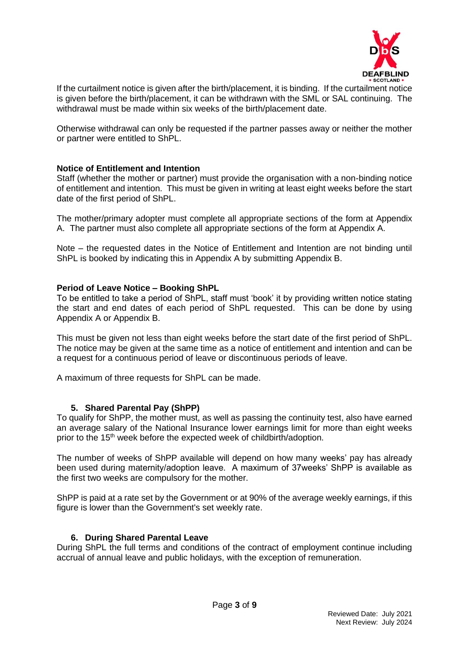

If the curtailment notice is given after the birth/placement, it is binding. If the curtailment notice is given before the birth/placement, it can be withdrawn with the SML or SAL continuing. The withdrawal must be made within six weeks of the birth/placement date.

Otherwise withdrawal can only be requested if the partner passes away or neither the mother or partner were entitled to ShPL.

### **Notice of Entitlement and Intention**

Staff (whether the mother or partner) must provide the organisation with a non-binding notice of entitlement and intention. This must be given in writing at least eight weeks before the start date of the first period of ShPL.

The mother/primary adopter must complete all appropriate sections of the form at Appendix A. The partner must also complete all appropriate sections of the form at Appendix A.

Note – the requested dates in the Notice of Entitlement and Intention are not binding until ShPL is booked by indicating this in Appendix A by submitting Appendix B.

#### **Period of Leave Notice – Booking ShPL**

To be entitled to take a period of ShPL, staff must 'book' it by providing written notice stating the start and end dates of each period of ShPL requested. This can be done by using Appendix A or Appendix B.

This must be given not less than eight weeks before the start date of the first period of ShPL. The notice may be given at the same time as a notice of entitlement and intention and can be a request for a continuous period of leave or discontinuous periods of leave.

A maximum of three requests for ShPL can be made.

#### **5. Shared Parental Pay (ShPP)**

To qualify for ShPP, the mother must, as well as passing the continuity test, also have earned an average salary of the National Insurance lower earnings limit for more than eight weeks prior to the 15<sup>th</sup> week before the expected week of childbirth/adoption.

The number of weeks of ShPP available will depend on how many weeks' pay has already been used during maternity/adoption leave. A maximum of 37weeks' ShPP is available as the first two weeks are compulsory for the mother.

ShPP is paid at a rate set by the Government or at 90% of the average weekly earnings, if this figure is lower than the Government's set weekly rate.

#### **6. During Shared Parental Leave**

During ShPL the full terms and conditions of the contract of employment continue including accrual of annual leave and public holidays, with the exception of remuneration.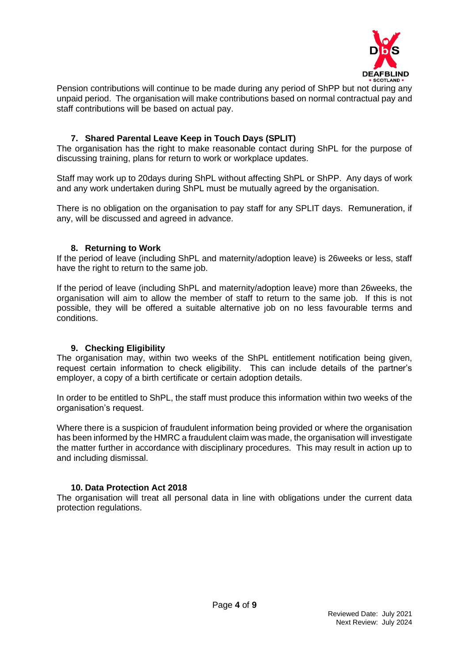

Pension contributions will continue to be made during any period of ShPP but not during any unpaid period. The organisation will make contributions based on normal contractual pay and staff contributions will be based on actual pay.

# **7. Shared Parental Leave Keep in Touch Days (SPLIT)**

The organisation has the right to make reasonable contact during ShPL for the purpose of discussing training, plans for return to work or workplace updates.

Staff may work up to 20days during ShPL without affecting ShPL or ShPP. Any days of work and any work undertaken during ShPL must be mutually agreed by the organisation.

There is no obligation on the organisation to pay staff for any SPLIT days. Remuneration, if any, will be discussed and agreed in advance.

# **8. Returning to Work**

If the period of leave (including ShPL and maternity/adoption leave) is 26weeks or less, staff have the right to return to the same job.

If the period of leave (including ShPL and maternity/adoption leave) more than 26weeks, the organisation will aim to allow the member of staff to return to the same job. If this is not possible, they will be offered a suitable alternative job on no less favourable terms and conditions.

#### **9. Checking Eligibility**

The organisation may, within two weeks of the ShPL entitlement notification being given, request certain information to check eligibility. This can include details of the partner's employer, a copy of a birth certificate or certain adoption details.

In order to be entitled to ShPL, the staff must produce this information within two weeks of the organisation's request.

Where there is a suspicion of fraudulent information being provided or where the organisation has been informed by the HMRC a fraudulent claim was made, the organisation will investigate the matter further in accordance with disciplinary procedures. This may result in action up to and including dismissal.

# **10. Data Protection Act 2018**

The organisation will treat all personal data in line with obligations under the current data protection regulations.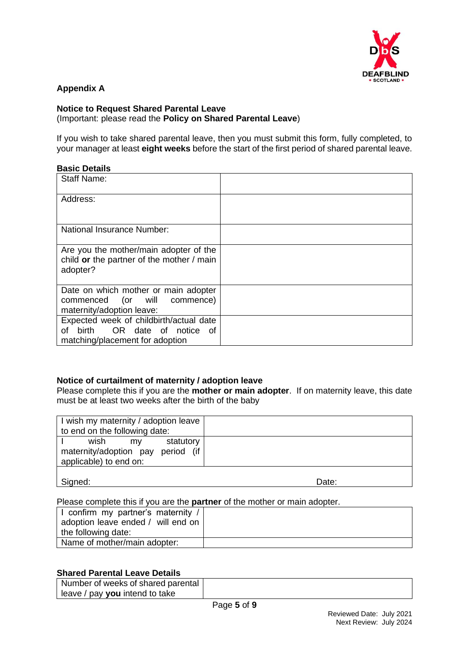

# **Appendix A**

#### **Notice to Request Shared Parental Leave** (Important: please read the **Policy on Shared Parental Leave**)

If you wish to take shared parental leave, then you must submit this form, fully completed, to your manager at least **eight weeks** before the start of the first period of shared parental leave.

### **Basic Details**

| <b>Staff Name:</b>                                                                                             |  |
|----------------------------------------------------------------------------------------------------------------|--|
| Address:                                                                                                       |  |
| <b>National Insurance Number:</b>                                                                              |  |
| Are you the mother/main adopter of the<br>child or the partner of the mother / main<br>adopter?                |  |
| Date on which mother or main adopter<br>commenced (or will commence)<br>maternity/adoption leave:              |  |
| Expected week of childbirth/actual date<br>birth OR date of notice of<br>оf<br>matching/placement for adoption |  |

# **Notice of curtailment of maternity / adoption leave**

Please complete this if you are the **mother or main adopter**. If on maternity leave, this date must be at least two weeks after the birth of the baby

Signed: **Date: Date: Date: Date: Date: Date: Date: Date: Date: Date: Date: Date: Date: Date: Date: Date: Date: Date: Date: Date: Date: Date: Date: Date: Date: Date: Date:** 

Please complete this if you are the **partner** of the mother or main adopter.

| I confirm my partner's maternity /<br>adoption leave ended / will end on |  |
|--------------------------------------------------------------------------|--|
| the following date:                                                      |  |
| Name of mother/main adopter:                                             |  |

#### **Shared Parental Leave Details**

| Number of weeks of shared parental |  |
|------------------------------------|--|
| I leave / pay you intend to take   |  |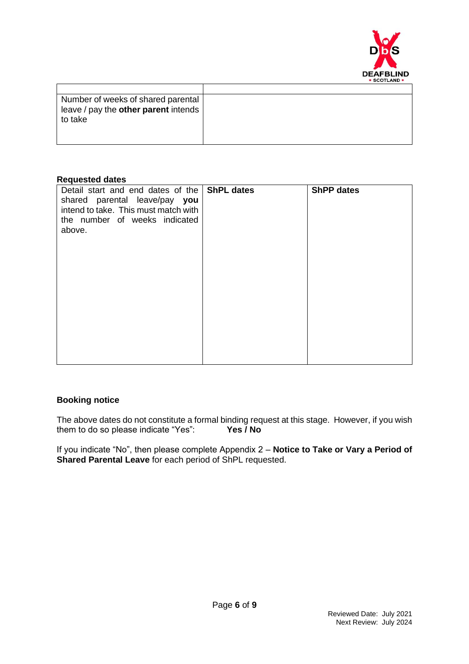

| Number of weeks of shared parental   |  |
|--------------------------------------|--|
| leave / pay the other parent intends |  |
| to take                              |  |
|                                      |  |
|                                      |  |

#### **Requested dates**

| Detail start and end dates of the ShPL dates<br>shared parental leave/pay you<br>intend to take. This must match with<br>the number of weeks indicated<br>above. | <b>ShPP dates</b> |
|------------------------------------------------------------------------------------------------------------------------------------------------------------------|-------------------|
|                                                                                                                                                                  |                   |

### **Booking notice**

The above dates do not constitute a formal binding request at this stage. However, if you wish them to do so please indicate "Yes":  $\frac{1}{100}$  Yes / No them to do so please indicate "Yes":

If you indicate "No", then please complete Appendix 2 – **Notice to Take or Vary a Period of Shared Parental Leave** for each period of ShPL requested.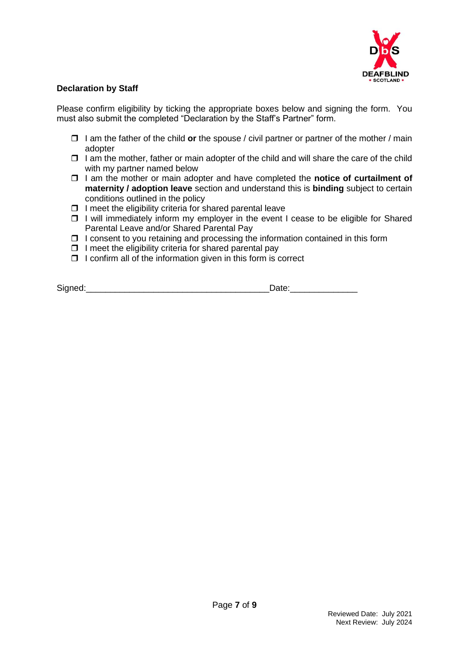

### **Declaration by Staff**

Please confirm eligibility by ticking the appropriate boxes below and signing the form. You must also submit the completed "Declaration by the Staff's Partner" form.

- I am the father of the child **or** the spouse / civil partner or partner of the mother / main adopter
- $\Box$  I am the mother, father or main adopter of the child and will share the care of the child with my partner named below
- □ 1 am the mother or main adopter and have completed the **notice of curtailment of maternity / adoption leave** section and understand this is **binding** subject to certain conditions outlined in the policy
- $\Box$  I meet the eligibility criteria for shared parental leave
- $\Box$  I will immediately inform my employer in the event I cease to be eligible for Shared Parental Leave and/or Shared Parental Pay
- $\Box$  I consent to you retaining and processing the information contained in this form
- $\Box$  I meet the eligibility criteria for shared parental pay
- $\Box$  I confirm all of the information given in this form is correct

Signed:\_\_\_\_\_\_\_\_\_\_\_\_\_\_\_\_\_\_\_\_\_\_\_\_\_\_\_\_\_\_\_\_\_\_\_\_\_\_Date:\_\_\_\_\_\_\_\_\_\_\_\_\_\_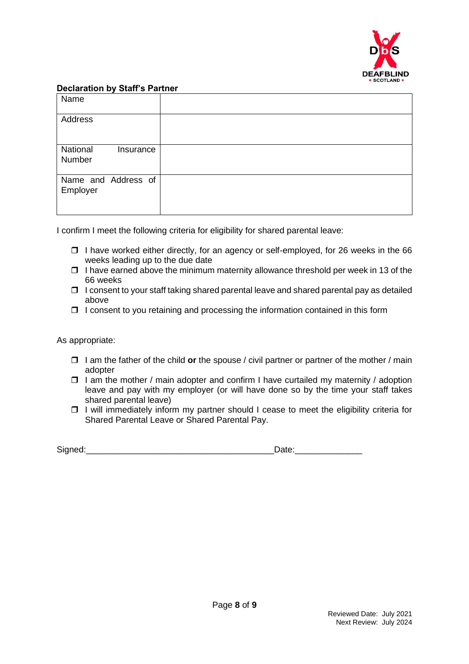

#### **Declaration by Staff's Partner**

| Name                            |  |
|---------------------------------|--|
| Address                         |  |
| National<br>Insurance<br>Number |  |
| Name and Address of<br>Employer |  |

I confirm I meet the following criteria for eligibility for shared parental leave:

- $\Box$  I have worked either directly, for an agency or self-employed, for 26 weeks in the 66 weeks leading up to the due date
- $\Box$  I have earned above the minimum maternity allowance threshold per week in 13 of the 66 weeks
- $\Box$  I consent to your staff taking shared parental leave and shared parental pay as detailed above
- $\Box$  I consent to you retaining and processing the information contained in this form

As appropriate:

- I am the father of the child **or** the spouse / civil partner or partner of the mother / main adopter
- $\Box$  I am the mother / main adopter and confirm I have curtailed my maternity / adoption leave and pay with my employer (or will have done so by the time your staff takes shared parental leave)
- $\Box$  I will immediately inform my partner should I cease to meet the eligibility criteria for Shared Parental Leave or Shared Parental Pay.

| <b>.</b><br>ان |            |
|----------------|------------|
|                | --<br>---- |